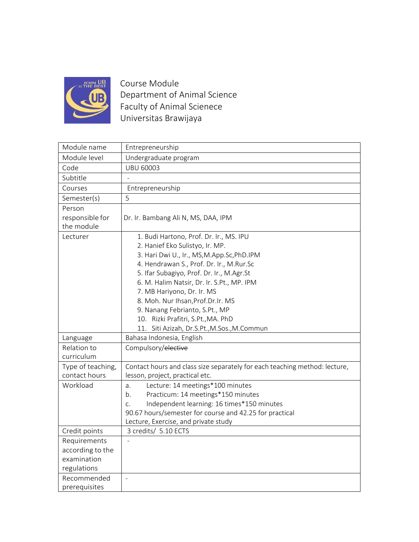

Course Module Department of Animal Science Faculty of Animal Scienece Universitas Brawijaya

| Entrepreneurship<br>Module level<br>Undergraduate program<br><b>UBU 60003</b><br>Code<br>Subtitle<br>Courses<br>Entrepreneurship<br>5<br>Semester(s)<br>Person<br>responsible for<br>Dr. Ir. Bambang Ali N, MS, DAA, IPM<br>the module<br>Lecturer<br>1. Budi Hartono, Prof. Dr. Ir., MS. IPU<br>2. Hanief Eko Sulistyo, Ir. MP.<br>3. Hari Dwi U., Ir., MS, M.App.Sc, PhD.IPM<br>4. Hendrawan S., Prof. Dr. Ir., M.Rur.Sc<br>5. Ifar Subagiyo, Prof. Dr. Ir., M.Agr.St<br>6. M. Halim Natsir, Dr. Ir. S.Pt., MP. IPM<br>7. MB Hariyono, Dr. Ir. MS<br>8. Moh. Nur Ihsan, Prof. Dr. Ir. MS<br>9. Nanang Febrianto, S.Pt., MP<br>10. Rizki Prafitri, S.Pt., MA. PhD<br>11. Siti Azizah, Dr.S.Pt., M.Sos., M.Commun<br>Bahasa Indonesia, English<br>Language<br>Compulsory/elective<br>Relation to<br>curriculum<br>Type of teaching,<br>Contact hours and class size separately for each teaching method: lecture,<br>contact hours<br>lesson, project, practical etc.<br>Workload<br>Lecture: 14 meetings*100 minutes<br>a.<br>Practicum: 14 meetings*150 minutes<br>b.<br>Independent learning: 16 times*150 minutes<br>C <sub>1</sub><br>90.67 hours/semester for course and 42.25 for practical<br>Lecture, Exercise, and private study |
|--------------------------------------------------------------------------------------------------------------------------------------------------------------------------------------------------------------------------------------------------------------------------------------------------------------------------------------------------------------------------------------------------------------------------------------------------------------------------------------------------------------------------------------------------------------------------------------------------------------------------------------------------------------------------------------------------------------------------------------------------------------------------------------------------------------------------------------------------------------------------------------------------------------------------------------------------------------------------------------------------------------------------------------------------------------------------------------------------------------------------------------------------------------------------------------------------------------------------------------------|
|                                                                                                                                                                                                                                                                                                                                                                                                                                                                                                                                                                                                                                                                                                                                                                                                                                                                                                                                                                                                                                                                                                                                                                                                                                            |
|                                                                                                                                                                                                                                                                                                                                                                                                                                                                                                                                                                                                                                                                                                                                                                                                                                                                                                                                                                                                                                                                                                                                                                                                                                            |
|                                                                                                                                                                                                                                                                                                                                                                                                                                                                                                                                                                                                                                                                                                                                                                                                                                                                                                                                                                                                                                                                                                                                                                                                                                            |
|                                                                                                                                                                                                                                                                                                                                                                                                                                                                                                                                                                                                                                                                                                                                                                                                                                                                                                                                                                                                                                                                                                                                                                                                                                            |
|                                                                                                                                                                                                                                                                                                                                                                                                                                                                                                                                                                                                                                                                                                                                                                                                                                                                                                                                                                                                                                                                                                                                                                                                                                            |
|                                                                                                                                                                                                                                                                                                                                                                                                                                                                                                                                                                                                                                                                                                                                                                                                                                                                                                                                                                                                                                                                                                                                                                                                                                            |
|                                                                                                                                                                                                                                                                                                                                                                                                                                                                                                                                                                                                                                                                                                                                                                                                                                                                                                                                                                                                                                                                                                                                                                                                                                            |
|                                                                                                                                                                                                                                                                                                                                                                                                                                                                                                                                                                                                                                                                                                                                                                                                                                                                                                                                                                                                                                                                                                                                                                                                                                            |
|                                                                                                                                                                                                                                                                                                                                                                                                                                                                                                                                                                                                                                                                                                                                                                                                                                                                                                                                                                                                                                                                                                                                                                                                                                            |
|                                                                                                                                                                                                                                                                                                                                                                                                                                                                                                                                                                                                                                                                                                                                                                                                                                                                                                                                                                                                                                                                                                                                                                                                                                            |
|                                                                                                                                                                                                                                                                                                                                                                                                                                                                                                                                                                                                                                                                                                                                                                                                                                                                                                                                                                                                                                                                                                                                                                                                                                            |
|                                                                                                                                                                                                                                                                                                                                                                                                                                                                                                                                                                                                                                                                                                                                                                                                                                                                                                                                                                                                                                                                                                                                                                                                                                            |
|                                                                                                                                                                                                                                                                                                                                                                                                                                                                                                                                                                                                                                                                                                                                                                                                                                                                                                                                                                                                                                                                                                                                                                                                                                            |
|                                                                                                                                                                                                                                                                                                                                                                                                                                                                                                                                                                                                                                                                                                                                                                                                                                                                                                                                                                                                                                                                                                                                                                                                                                            |
|                                                                                                                                                                                                                                                                                                                                                                                                                                                                                                                                                                                                                                                                                                                                                                                                                                                                                                                                                                                                                                                                                                                                                                                                                                            |
|                                                                                                                                                                                                                                                                                                                                                                                                                                                                                                                                                                                                                                                                                                                                                                                                                                                                                                                                                                                                                                                                                                                                                                                                                                            |
|                                                                                                                                                                                                                                                                                                                                                                                                                                                                                                                                                                                                                                                                                                                                                                                                                                                                                                                                                                                                                                                                                                                                                                                                                                            |
|                                                                                                                                                                                                                                                                                                                                                                                                                                                                                                                                                                                                                                                                                                                                                                                                                                                                                                                                                                                                                                                                                                                                                                                                                                            |
|                                                                                                                                                                                                                                                                                                                                                                                                                                                                                                                                                                                                                                                                                                                                                                                                                                                                                                                                                                                                                                                                                                                                                                                                                                            |
|                                                                                                                                                                                                                                                                                                                                                                                                                                                                                                                                                                                                                                                                                                                                                                                                                                                                                                                                                                                                                                                                                                                                                                                                                                            |
|                                                                                                                                                                                                                                                                                                                                                                                                                                                                                                                                                                                                                                                                                                                                                                                                                                                                                                                                                                                                                                                                                                                                                                                                                                            |
|                                                                                                                                                                                                                                                                                                                                                                                                                                                                                                                                                                                                                                                                                                                                                                                                                                                                                                                                                                                                                                                                                                                                                                                                                                            |
|                                                                                                                                                                                                                                                                                                                                                                                                                                                                                                                                                                                                                                                                                                                                                                                                                                                                                                                                                                                                                                                                                                                                                                                                                                            |
|                                                                                                                                                                                                                                                                                                                                                                                                                                                                                                                                                                                                                                                                                                                                                                                                                                                                                                                                                                                                                                                                                                                                                                                                                                            |
|                                                                                                                                                                                                                                                                                                                                                                                                                                                                                                                                                                                                                                                                                                                                                                                                                                                                                                                                                                                                                                                                                                                                                                                                                                            |
|                                                                                                                                                                                                                                                                                                                                                                                                                                                                                                                                                                                                                                                                                                                                                                                                                                                                                                                                                                                                                                                                                                                                                                                                                                            |
|                                                                                                                                                                                                                                                                                                                                                                                                                                                                                                                                                                                                                                                                                                                                                                                                                                                                                                                                                                                                                                                                                                                                                                                                                                            |
|                                                                                                                                                                                                                                                                                                                                                                                                                                                                                                                                                                                                                                                                                                                                                                                                                                                                                                                                                                                                                                                                                                                                                                                                                                            |
| Credit points<br>3 credits/ 5.10 ECTS                                                                                                                                                                                                                                                                                                                                                                                                                                                                                                                                                                                                                                                                                                                                                                                                                                                                                                                                                                                                                                                                                                                                                                                                      |
| Requirements                                                                                                                                                                                                                                                                                                                                                                                                                                                                                                                                                                                                                                                                                                                                                                                                                                                                                                                                                                                                                                                                                                                                                                                                                               |
| according to the                                                                                                                                                                                                                                                                                                                                                                                                                                                                                                                                                                                                                                                                                                                                                                                                                                                                                                                                                                                                                                                                                                                                                                                                                           |
| examination                                                                                                                                                                                                                                                                                                                                                                                                                                                                                                                                                                                                                                                                                                                                                                                                                                                                                                                                                                                                                                                                                                                                                                                                                                |
| regulations                                                                                                                                                                                                                                                                                                                                                                                                                                                                                                                                                                                                                                                                                                                                                                                                                                                                                                                                                                                                                                                                                                                                                                                                                                |
| Recommended<br>$\overline{a}$<br>prerequisites                                                                                                                                                                                                                                                                                                                                                                                                                                                                                                                                                                                                                                                                                                                                                                                                                                                                                                                                                                                                                                                                                                                                                                                             |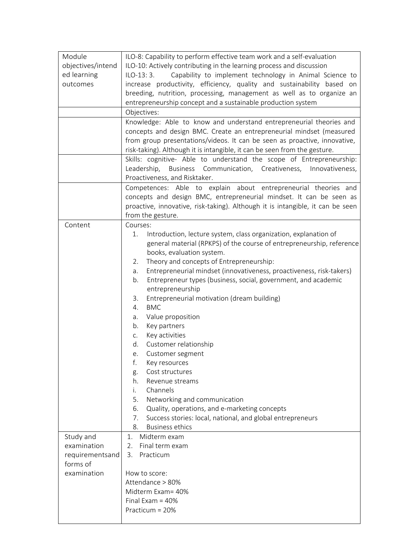| Module            | ILO-8: Capability to perform effective team work and a self-evaluation         |
|-------------------|--------------------------------------------------------------------------------|
| objectives/intend | ILO-10: Actively contributing in the learning process and discussion           |
| ed learning       | Capability to implement technology in Animal Science to<br>$ILO-13:3.$         |
|                   |                                                                                |
| outcomes          | increase productivity, efficiency, quality and sustainability based on         |
|                   | breeding, nutrition, processing, management as well as to organize an          |
|                   | entrepreneurship concept and a sustainable production system                   |
|                   | Objectives:                                                                    |
|                   | Knowledge: Able to know and understand entrepreneurial theories and            |
|                   | concepts and design BMC. Create an entrepreneurial mindset (measured           |
|                   | from group presentations/videos. It can be seen as proactive, innovative,      |
|                   | risk-taking). Although it is intangible, it can be seen from the gesture.      |
|                   | Skills: cognitive- Able to understand the scope of Entrepreneurship:           |
|                   | Leadership, Business Communication, Creativeness, Innovativeness,              |
|                   | Proactiveness, and Risktaker.                                                  |
|                   | Competences: Able to explain about entrepreneurial theories and                |
|                   | concepts and design BMC, entrepreneurial mindset. It can be seen as            |
|                   |                                                                                |
|                   | proactive, innovative, risk-taking). Although it is intangible, it can be seen |
|                   | from the gesture.                                                              |
| Content           | Courses:                                                                       |
|                   | Introduction, lecture system, class organization, explanation of<br>1.         |
|                   | general material (RPKPS) of the course of entrepreneurship, reference          |
|                   | books, evaluation system.                                                      |
|                   | Theory and concepts of Entrepreneurship:<br>2.                                 |
|                   | Entrepreneurial mindset (innovativeness, proactiveness, risk-takers)<br>а.     |
|                   | Entrepreneur types (business, social, government, and academic<br>b.           |
|                   | entrepreneurship                                                               |
|                   | Entrepreneurial motivation (dream building)<br>3.                              |
|                   | <b>BMC</b><br>4.                                                               |
|                   | Value proposition<br>а.                                                        |
|                   | Key partners<br>b.                                                             |
|                   | Key activities<br>C.                                                           |
|                   | Customer relationship<br>d.                                                    |
|                   | Customer segment<br>е.                                                         |
|                   | f.<br>Key resources                                                            |
|                   | Cost structures                                                                |
|                   | g.<br>Revenue streams<br>h.                                                    |
|                   | Channels<br>i.                                                                 |
|                   | 5.                                                                             |
|                   | Networking and communication                                                   |
|                   | Quality, operations, and e-marketing concepts<br>6.                            |
|                   | 7.<br>Success stories: local, national, and global entrepreneurs               |
|                   | <b>Business ethics</b><br>8.                                                   |
| Study and         | Midterm exam<br>1.                                                             |
| examination       | Final term exam<br>2.                                                          |
| requirementsand   | Practicum<br>3.                                                                |
| forms of          |                                                                                |
| examination       | How to score:                                                                  |
|                   | Attendance > 80%                                                               |
|                   | Midterm Exam= 40%                                                              |
|                   | Final Exam = $40%$                                                             |
|                   | Practicum = 20%                                                                |
|                   |                                                                                |